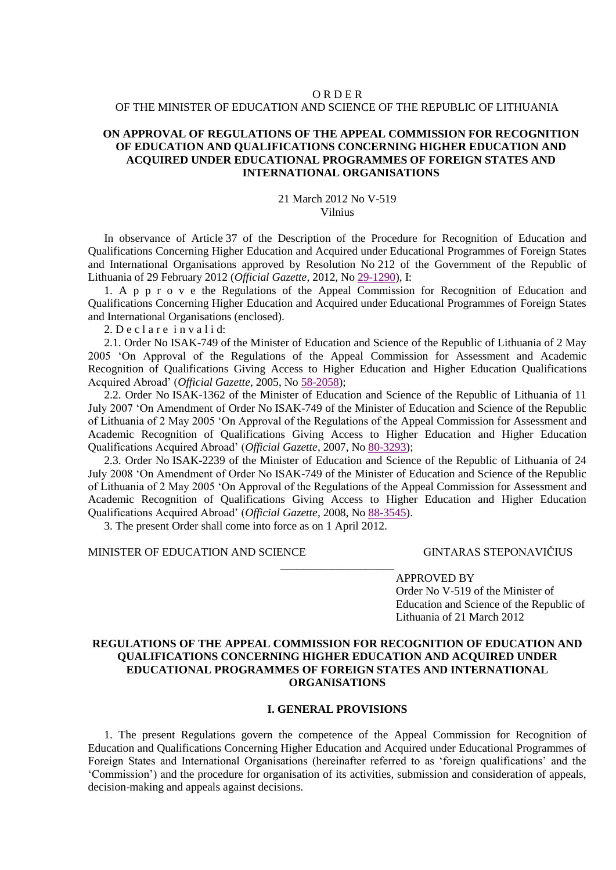## **ORDER** OF THE MINISTER OF EDUCATION AND SCIENCE OF THE REPUBLIC OF LITHUANIA

## **ON APPROVAL OF REGULATIONS OF THE APPEAL COMMISSION FOR RECOGNITION OF EDUCATION AND QUALIFICATIONS CONCERNING HIGHER EDUCATION AND ACQUIRED UNDER EDUCATIONAL PROGRAMMES OF FOREIGN STATES AND INTERNATIONAL ORGANISATIONS**

#### 21 March 2012 No V-519 Vilnius

In observance of Article 37 of the Description of the Procedure for Recognition of Education and Qualifications Concerning Higher Education and Acquired under Educational Programmes of Foreign States and International Organisations approved by Resolution No 212 of the Government of the Republic of Lithuania of 29 February 2012 (*Official Gazette*, 2012, No [29-1290\)](http://www3.lrs.lt/pls/inter/dokpaieska.showdoc_l?p_id=419285), I:

1. A p p r o v e the Regulations of the Appeal Commission for Recognition of Education and Qualifications Concerning Higher Education and Acquired under Educational Programmes of Foreign States and International Organisations (enclosed).

 $2.$  Declare invalid:

2.1. Order No ISAK-749 of the Minister of Education and Science of the Republic of Lithuania of 2 May 2005 'On Approval of the Regulations of the Appeal Commission for Assessment and Academic Recognition of Qualifications Giving Access to Higher Education and Higher Education Qualifications Acquired Abroad' (*Official Gazette*, 2005, No [58-2058\)](http://www3.lrs.lt/pls/inter/dokpaieska.showdoc_l?p_id=255400);

2.2. Order No ISAK-1362 of the Minister of Education and Science of the Republic of Lithuania of 11 July 2007 'On Amendment of Order No ISAK-749 of the Minister of Education and Science of the Republic of Lithuania of 2 May 2005 'On Approval of the Regulations of the Appeal Commission for Assessment and Academic Recognition of Qualifications Giving Access to Higher Education and Higher Education Qualifications Acquired Abroad' (*Official Gazette*, 2007, No [80-3293\)](http://www3.lrs.lt/pls/inter/dokpaieska.showdoc_l?p_id=302076);

2.3. Order No ISAK-2239 of the Minister of Education and Science of the Republic of Lithuania of 24 July 2008 'On Amendment of Order No ISAK-749 of the Minister of Education and Science of the Republic of Lithuania of 2 May 2005 'On Approval of the Regulations of the Appeal Commission for Assessment and Academic Recognition of Qualifications Giving Access to Higher Education and Higher Education Qualifications Acquired Abroad' (*Official Gazette*, 2008, No [88-3545\)](http://www3.lrs.lt/pls/inter/dokpaieska.showdoc_l?p_id=325580).

\_\_\_\_\_\_\_\_\_\_\_\_\_\_\_\_\_\_\_\_

3. The present Order shall come into force as on 1 April 2012.

## MINISTER OF EDUCATION AND SCIENCE GINTARAS STEPONAVIČIUS

APPROVED BY Order No V-519 of the Minister of Education and Science of the Republic of Lithuania of 21 March 2012

# **REGULATIONS OF THE APPEAL COMMISSION FOR RECOGNITION OF EDUCATION AND QUALIFICATIONS CONCERNING HIGHER EDUCATION AND ACQUIRED UNDER EDUCATIONAL PROGRAMMES OF FOREIGN STATES AND INTERNATIONAL ORGANISATIONS**

#### **I. GENERAL PROVISIONS**

1. The present Regulations govern the competence of the Appeal Commission for Recognition of Education and Qualifications Concerning Higher Education and Acquired under Educational Programmes of Foreign States and International Organisations (hereinafter referred to as 'foreign qualifications' and the 'Commission') and the procedure for organisation of its activities, submission and consideration of appeals, decision-making and appeals against decisions.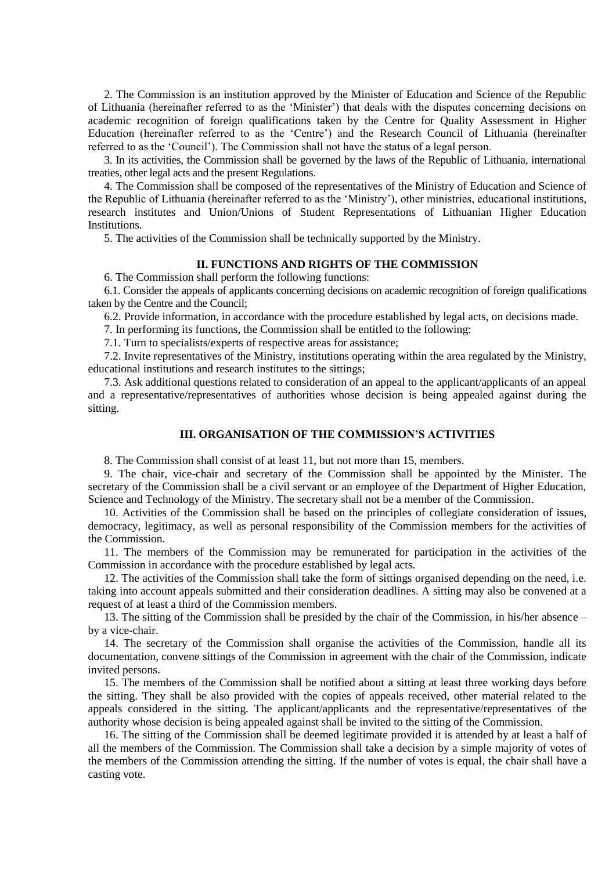2. The Commission is an institution approved by the Minister of Education and Science of the Republic of Lithuania (hereinafter referred to as the 'Minister') that deals with the disputes concerning decisions on academic recognition of foreign qualifications taken by the Centre for Quality Assessment in Higher Education (hereinafter referred to as the 'Centre') and the Research Council of Lithuania (hereinafter referred to as the 'Council'). The Commission shall not have the status of a legal person.

3. In its activities, the Commission shall be governed by the laws of the Republic of Lithuania, international treaties, other legal acts and the present Regulations.

4. The Commission shall be composed of the representatives of the Ministry of Education and Science of the Republic of Lithuania (hereinafter referred to as the 'Ministry'), other ministries, educational institutions, research institutes and Union/Unions of Student Representations of Lithuanian Higher Education Institutions.

5. The activities of the Commission shall be technically supported by the Ministry.

#### **II. FUNCTIONS AND RIGHTS OF THE COMMISSION**

6. The Commission shall perform the following functions:

6.1. Consider the appeals of applicants concerning decisions on academic recognition of foreign qualifications taken by the Centre and the Council;

6.2. Provide information, in accordance with the procedure established by legal acts, on decisions made.

7. In performing its functions, the Commission shall be entitled to the following:

7.1. Turn to specialists/experts of respective areas for assistance;

7.2. Invite representatives of the Ministry, institutions operating within the area regulated by the Ministry, educational institutions and research institutes to the sittings;

7.3. Ask additional questions related to consideration of an appeal to the applicant/applicants of an appeal and a representative/representatives of authorities whose decision is being appealed against during the sitting.

### **III. ORGANISATION OF THE COMMISSION'S ACTIVITIES**

8. The Commission shall consist of at least 11, but not more than 15, members.

9. The chair, vice-chair and secretary of the Commission shall be appointed by the Minister. The secretary of the Commission shall be a civil servant or an employee of the Department of Higher Education, Science and Technology of the Ministry. The secretary shall not be a member of the Commission.

10. Activities of the Commission shall be based on the principles of collegiate consideration of issues, democracy, legitimacy, as well as personal responsibility of the Commission members for the activities of the Commission.

11. The members of the Commission may be remunerated for participation in the activities of the Commission in accordance with the procedure established by legal acts.

12. The activities of the Commission shall take the form of sittings organised depending on the need, i.e. taking into account appeals submitted and their consideration deadlines. A sitting may also be convened at a request of at least a third of the Commission members.

13. The sitting of the Commission shall be presided by the chair of the Commission, in his/her absence – by a vice-chair.

14. The secretary of the Commission shall organise the activities of the Commission, handle all its documentation, convene sittings of the Commission in agreement with the chair of the Commission, indicate invited persons.

15. The members of the Commission shall be notified about a sitting at least three working days before the sitting. They shall be also provided with the copies of appeals received, other material related to the appeals considered in the sitting. The applicant/applicants and the representative/representatives of the authority whose decision is being appealed against shall be invited to the sitting of the Commission.

16. The sitting of the Commission shall be deemed legitimate provided it is attended by at least a half of all the members of the Commission. The Commission shall take a decision by a simple majority of votes of the members of the Commission attending the sitting. If the number of votes is equal, the chair shall have a casting vote.